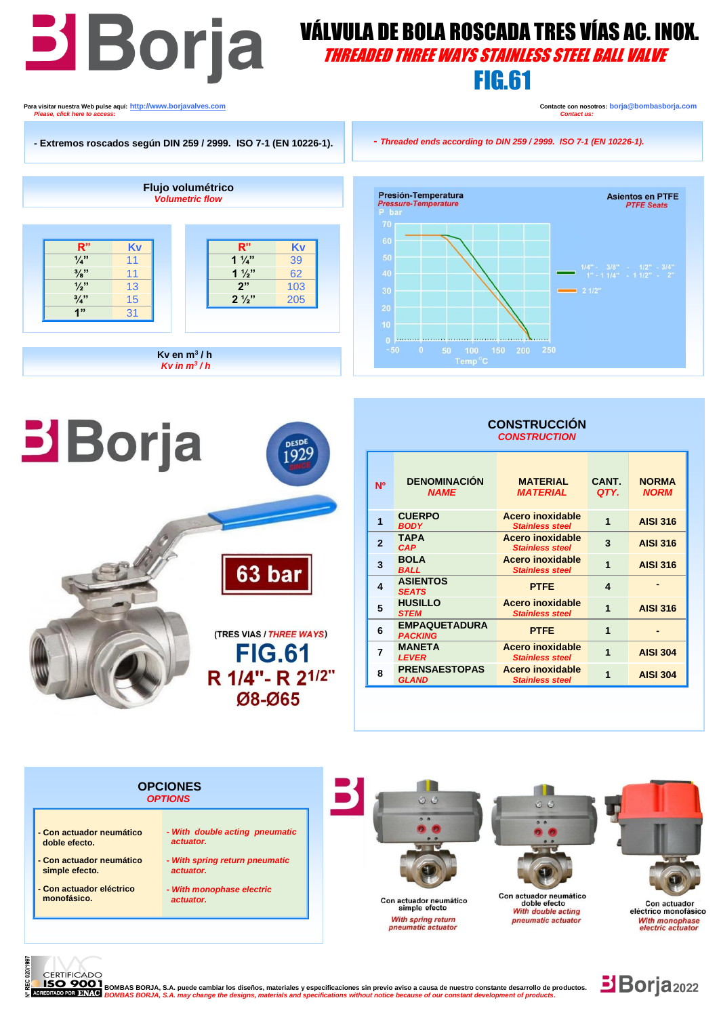# **B**OYRE WALVULA DE BOLA ROSCADA TRES VÍAS AC. INOX.

## THREADED THREE WAYS STAINLESS STEEL BALL VALVE

FIG.61

**Para visitar nuestra Web pulse aquí:** <u>http://www.borjavalves.com</u> **Contacter Contacte con nosotros: borja@bombasborja.com <b>Contacte con nosotros: borja**@bombasborja.com **Please click hara to access:** *Please, click here to access.* 

**Borja** 

**Asientos en PTFE** 

**PTFE Seats** 





08-065

63 bar

(TRES VIAS / THREE WAYS) **FIG.61** R 1/4"- R 21/2"

**DESD** 192

## **CONSTRUCCIÓN**  *CONSTRUCTION*

| <b>N<sub>O</sub></b>    | <b>DENOMINACIÓN</b><br><b>NAME</b>     | <b>MATERIAL</b><br><i><b>MATERIAL</b></i>         | CANT.<br>QTY. | <b>NORMA</b><br><b>NORM</b> |
|-------------------------|----------------------------------------|---------------------------------------------------|---------------|-----------------------------|
| 1                       | <b>CUERPO</b><br><b>BODY</b>           | <b>Acero inoxidable</b><br><b>Stainless steel</b> | 1             | <b>AISI 316</b>             |
| $\overline{\mathbf{c}}$ | <b>TAPA</b><br><b>CAP</b>              | Acero inoxidable<br><b>Stainless steel</b>        | 3             | <b>AISI 316</b>             |
| 3                       | <b>BOLA</b><br><b>BALL</b>             | Acero inoxidable<br><b>Stainless steel</b>        | 1             | <b>AISI 316</b>             |
| 4                       | <b>ASIENTOS</b><br><b>SEATS</b>        | <b>PTFE</b>                                       | 4             |                             |
| 5                       | <b>HUSILLO</b><br><b>STEM</b>          | <b>Acero inoxidable</b><br><b>Stainless steel</b> | 1             | <b>AISI 316</b>             |
| 6                       | <b>EMPAQUETADURA</b><br><b>PACKING</b> | <b>PTFE</b>                                       | 1             |                             |
| 7                       | <b>MANETA</b><br><b>LEVER</b>          | Acero inoxidable<br><b>Stainless steel</b>        | 1             | <b>AISI 304</b>             |
| 8                       | <b>PRENSAESTOPAS</b><br><b>GLAND</b>   | Acero inoxidable<br><b>Stainless steel</b>        |               | <b>AISI 304</b>             |





**EXECT BOMBAS BORJA, S.A. puede cambiar los diseños, materiales y especificaciones sin previo aviso a causa de nuestro constante desarrollo de productos.**<br>O POR BNAC BOMBAS BORJA, S.A. may change the designs, materials and